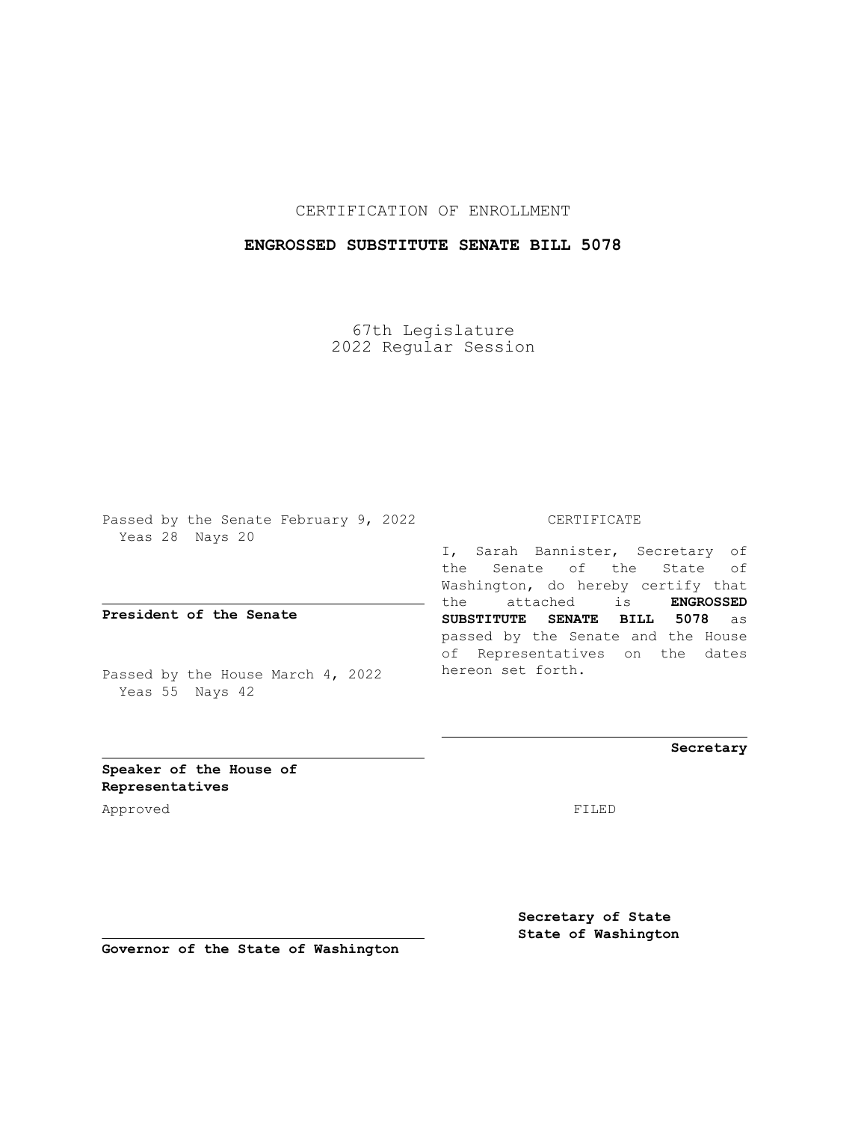## CERTIFICATION OF ENROLLMENT

# **ENGROSSED SUBSTITUTE SENATE BILL 5078**

67th Legislature 2022 Regular Session

Passed by the Senate February 9, 2022 Yeas 28 Nays 20

**President of the Senate**

Passed by the House March 4, 2022 Yeas 55 Nays 42

#### CERTIFICATE

I, Sarah Bannister, Secretary of the Senate of the State of Washington, do hereby certify that the attached is **ENGROSSED SUBSTITUTE SENATE BILL 5078** as passed by the Senate and the House of Representatives on the dates hereon set forth.

**Secretary**

**Speaker of the House of Representatives**

Approved FILED

**Secretary of State State of Washington**

**Governor of the State of Washington**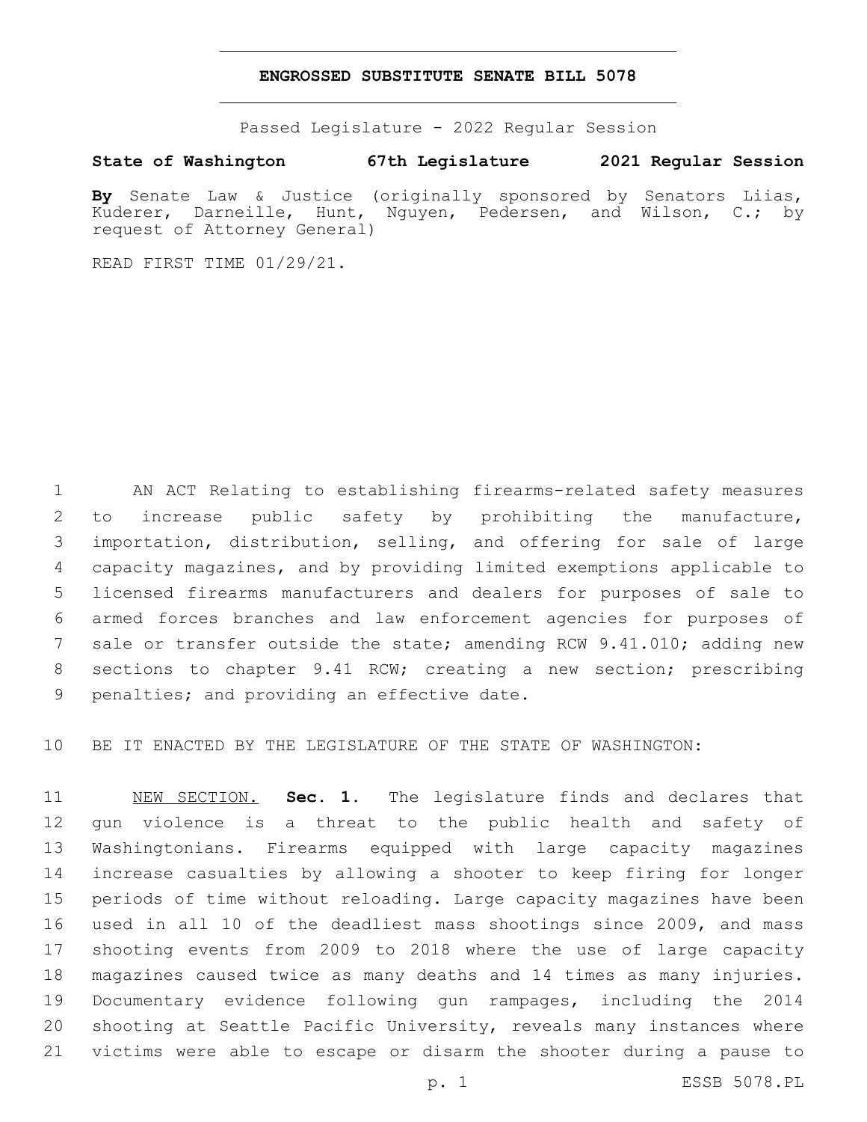### **ENGROSSED SUBSTITUTE SENATE BILL 5078**

Passed Legislature - 2022 Regular Session

# **State of Washington 67th Legislature 2021 Regular Session**

**By** Senate Law & Justice (originally sponsored by Senators Liias, Kuderer, Darneille, Hunt, Nguyen, Pedersen, and Wilson, C.; by request of Attorney General)

READ FIRST TIME 01/29/21.

 AN ACT Relating to establishing firearms-related safety measures to increase public safety by prohibiting the manufacture, importation, distribution, selling, and offering for sale of large capacity magazines, and by providing limited exemptions applicable to licensed firearms manufacturers and dealers for purposes of sale to armed forces branches and law enforcement agencies for purposes of sale or transfer outside the state; amending RCW 9.41.010; adding new sections to chapter 9.41 RCW; creating a new section; prescribing 9 penalties; and providing an effective date.

BE IT ENACTED BY THE LEGISLATURE OF THE STATE OF WASHINGTON:

 NEW SECTION. **Sec. 1.** The legislature finds and declares that gun violence is a threat to the public health and safety of Washingtonians. Firearms equipped with large capacity magazines increase casualties by allowing a shooter to keep firing for longer periods of time without reloading. Large capacity magazines have been used in all 10 of the deadliest mass shootings since 2009, and mass shooting events from 2009 to 2018 where the use of large capacity magazines caused twice as many deaths and 14 times as many injuries. Documentary evidence following gun rampages, including the 2014 shooting at Seattle Pacific University, reveals many instances where victims were able to escape or disarm the shooter during a pause to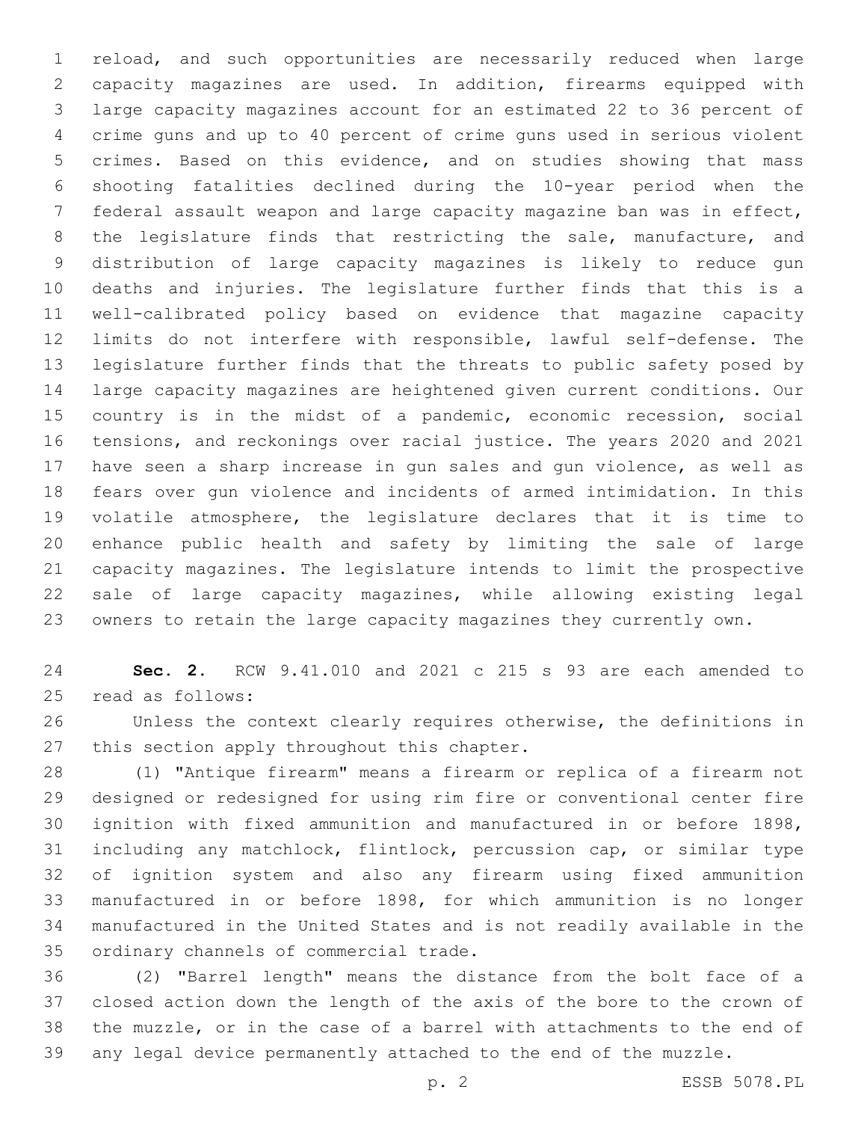reload, and such opportunities are necessarily reduced when large capacity magazines are used. In addition, firearms equipped with large capacity magazines account for an estimated 22 to 36 percent of crime guns and up to 40 percent of crime guns used in serious violent crimes. Based on this evidence, and on studies showing that mass shooting fatalities declined during the 10-year period when the federal assault weapon and large capacity magazine ban was in effect, the legislature finds that restricting the sale, manufacture, and distribution of large capacity magazines is likely to reduce gun deaths and injuries. The legislature further finds that this is a well-calibrated policy based on evidence that magazine capacity limits do not interfere with responsible, lawful self-defense. The legislature further finds that the threats to public safety posed by large capacity magazines are heightened given current conditions. Our 15 country is in the midst of a pandemic, economic recession, social tensions, and reckonings over racial justice. The years 2020 and 2021 have seen a sharp increase in gun sales and gun violence, as well as fears over gun violence and incidents of armed intimidation. In this volatile atmosphere, the legislature declares that it is time to enhance public health and safety by limiting the sale of large capacity magazines. The legislature intends to limit the prospective sale of large capacity magazines, while allowing existing legal owners to retain the large capacity magazines they currently own.

 **Sec. 2.** RCW 9.41.010 and 2021 c 215 s 93 are each amended to 25 read as follows:

 Unless the context clearly requires otherwise, the definitions in 27 this section apply throughout this chapter.

 (1) "Antique firearm" means a firearm or replica of a firearm not designed or redesigned for using rim fire or conventional center fire ignition with fixed ammunition and manufactured in or before 1898, including any matchlock, flintlock, percussion cap, or similar type of ignition system and also any firearm using fixed ammunition manufactured in or before 1898, for which ammunition is no longer manufactured in the United States and is not readily available in the 35 ordinary channels of commercial trade.

 (2) "Barrel length" means the distance from the bolt face of a closed action down the length of the axis of the bore to the crown of the muzzle, or in the case of a barrel with attachments to the end of any legal device permanently attached to the end of the muzzle.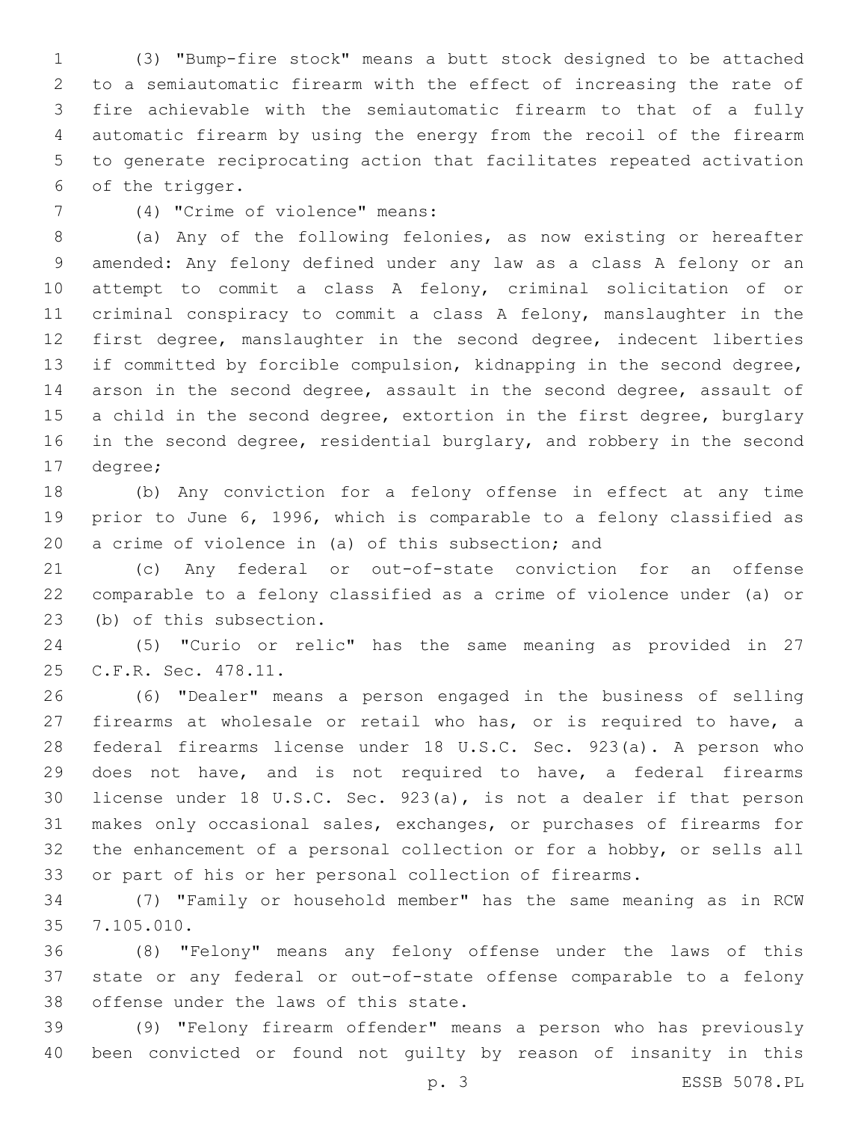(3) "Bump-fire stock" means a butt stock designed to be attached to a semiautomatic firearm with the effect of increasing the rate of fire achievable with the semiautomatic firearm to that of a fully automatic firearm by using the energy from the recoil of the firearm to generate reciprocating action that facilitates repeated activation 6 of the trigger.

(4) "Crime of violence" means:7

 (a) Any of the following felonies, as now existing or hereafter amended: Any felony defined under any law as a class A felony or an attempt to commit a class A felony, criminal solicitation of or criminal conspiracy to commit a class A felony, manslaughter in the first degree, manslaughter in the second degree, indecent liberties if committed by forcible compulsion, kidnapping in the second degree, arson in the second degree, assault in the second degree, assault of 15 a child in the second degree, extortion in the first degree, burglary 16 in the second degree, residential burglary, and robbery in the second 17 degree;

 (b) Any conviction for a felony offense in effect at any time prior to June 6, 1996, which is comparable to a felony classified as a crime of violence in (a) of this subsection; and

 (c) Any federal or out-of-state conviction for an offense comparable to a felony classified as a crime of violence under (a) or 23 (b) of this subsection.

 (5) "Curio or relic" has the same meaning as provided in 27 25 C.F.R. Sec. 478.11.

 (6) "Dealer" means a person engaged in the business of selling firearms at wholesale or retail who has, or is required to have, a federal firearms license under 18 U.S.C. Sec. 923(a). A person who does not have, and is not required to have, a federal firearms license under 18 U.S.C. Sec. 923(a), is not a dealer if that person makes only occasional sales, exchanges, or purchases of firearms for the enhancement of a personal collection or for a hobby, or sells all or part of his or her personal collection of firearms.

 (7) "Family or household member" has the same meaning as in RCW 7.105.010.35

 (8) "Felony" means any felony offense under the laws of this state or any federal or out-of-state offense comparable to a felony 38 offense under the laws of this state.

 (9) "Felony firearm offender" means a person who has previously been convicted or found not guilty by reason of insanity in this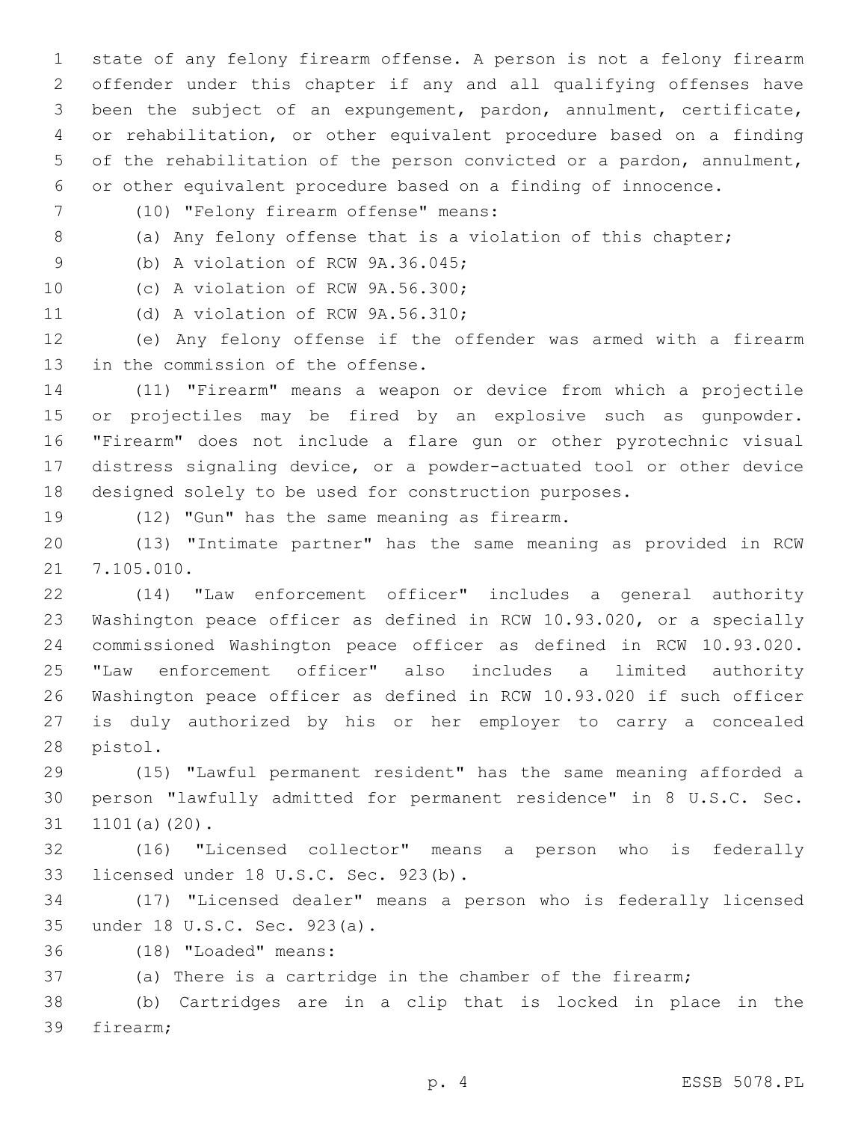state of any felony firearm offense. A person is not a felony firearm offender under this chapter if any and all qualifying offenses have been the subject of an expungement, pardon, annulment, certificate, or rehabilitation, or other equivalent procedure based on a finding of the rehabilitation of the person convicted or a pardon, annulment, or other equivalent procedure based on a finding of innocence.

- (10) "Felony firearm offense" means:7
- 

8 (a) Any felony offense that is a violation of this chapter;

9 (b) A violation of RCW 9A.36.045;

10 (c) A violation of RCW 9A.56.300;

11 (d) A violation of RCW 9A.56.310;

 (e) Any felony offense if the offender was armed with a firearm 13 in the commission of the offense.

 (11) "Firearm" means a weapon or device from which a projectile or projectiles may be fired by an explosive such as gunpowder. "Firearm" does not include a flare gun or other pyrotechnic visual distress signaling device, or a powder-actuated tool or other device designed solely to be used for construction purposes.

19 (12) "Gun" has the same meaning as firearm.

 (13) "Intimate partner" has the same meaning as provided in RCW 21 7.105.010.

 (14) "Law enforcement officer" includes a general authority Washington peace officer as defined in RCW 10.93.020, or a specially commissioned Washington peace officer as defined in RCW 10.93.020. "Law enforcement officer" also includes a limited authority Washington peace officer as defined in RCW 10.93.020 if such officer is duly authorized by his or her employer to carry a concealed 28 pistol.

 (15) "Lawful permanent resident" has the same meaning afforded a person "lawfully admitted for permanent residence" in 8 U.S.C. Sec. 31 1101(a)(20).

 (16) "Licensed collector" means a person who is federally 33 licensed under 18 U.S.C. Sec. 923(b).

 (17) "Licensed dealer" means a person who is federally licensed under 18 U.S.C. Sec. 923(a).35

(18) "Loaded" means:36

(a) There is a cartridge in the chamber of the firearm;

 (b) Cartridges are in a clip that is locked in place in the 39 firearm;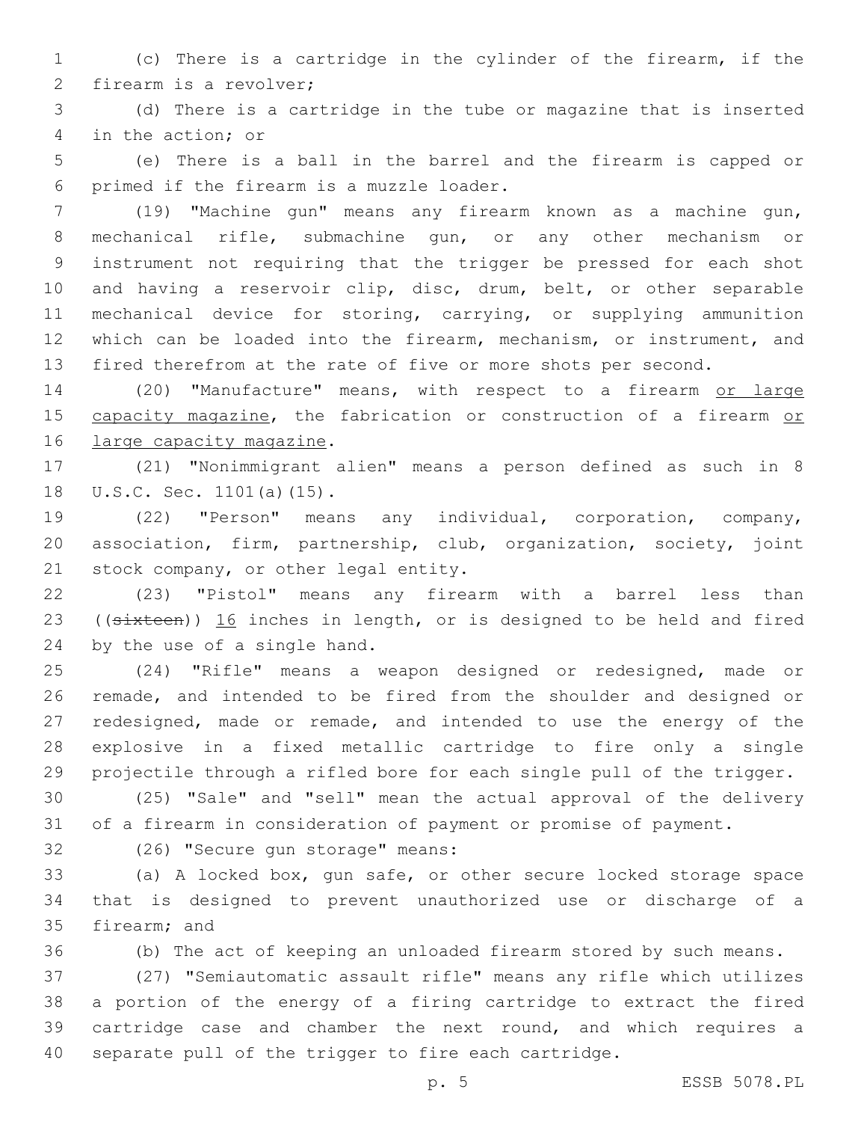(c) There is a cartridge in the cylinder of the firearm, if the 2 firearm is a revolver;

 (d) There is a cartridge in the tube or magazine that is inserted 4 in the action; or

 (e) There is a ball in the barrel and the firearm is capped or 6 primed if the firearm is a muzzle loader.

 (19) "Machine gun" means any firearm known as a machine gun, mechanical rifle, submachine gun, or any other mechanism or instrument not requiring that the trigger be pressed for each shot and having a reservoir clip, disc, drum, belt, or other separable mechanical device for storing, carrying, or supplying ammunition which can be loaded into the firearm, mechanism, or instrument, and fired therefrom at the rate of five or more shots per second.

14 (20) "Manufacture" means, with respect to a firearm or large 15 capacity magazine, the fabrication or construction of a firearm or 16 large capacity magazine.

 (21) "Nonimmigrant alien" means a person defined as such in 8 18 U.S.C. Sec. 1101(a)(15).

 (22) "Person" means any individual, corporation, company, association, firm, partnership, club, organization, society, joint 21 stock company, or other legal entity.

 (23) "Pistol" means any firearm with a barrel less than 23 ((sixteen)) 16 inches in length, or is designed to be held and fired 24 by the use of a single hand.

 (24) "Rifle" means a weapon designed or redesigned, made or remade, and intended to be fired from the shoulder and designed or redesigned, made or remade, and intended to use the energy of the explosive in a fixed metallic cartridge to fire only a single projectile through a rifled bore for each single pull of the trigger.

 (25) "Sale" and "sell" mean the actual approval of the delivery of a firearm in consideration of payment or promise of payment.

32 (26) "Secure gun storage" means:

 (a) A locked box, gun safe, or other secure locked storage space that is designed to prevent unauthorized use or discharge of a 35 firearm; and

(b) The act of keeping an unloaded firearm stored by such means.

 (27) "Semiautomatic assault rifle" means any rifle which utilizes a portion of the energy of a firing cartridge to extract the fired cartridge case and chamber the next round, and which requires a separate pull of the trigger to fire each cartridge.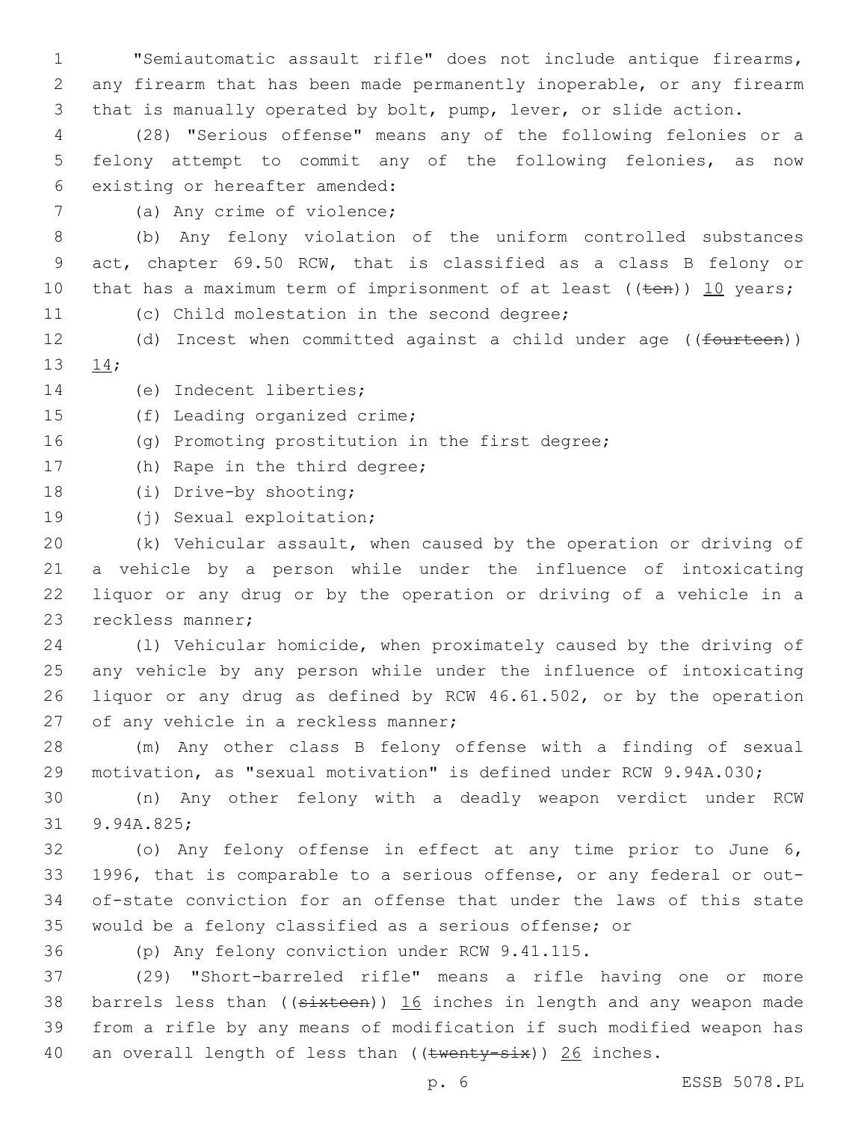1 "Semiautomatic assault rifle" does not include antique firearms, 2 any firearm that has been made permanently inoperable, or any firearm 3 that is manually operated by bolt, pump, lever, or slide action.

4 (28) "Serious offense" means any of the following felonies or a 5 felony attempt to commit any of the following felonies, as now 6 existing or hereafter amended:

7 (a) Any crime of violence;

8 (b) Any felony violation of the uniform controlled substances 9 act, chapter 69.50 RCW, that is classified as a class B felony or 10 that has a maximum term of imprisonment of at least  $((\text{ten}))$  10 years;

11 (c) Child molestation in the second degree;

12 (d) Incest when committed against a child under age ((fourteen)) 13 14;

14 (e) Indecent liberties;

15 (f) Leading organized crime;

16 (g) Promoting prostitution in the first degree;

17 (h) Rape in the third degree;

18 (i) Drive-by shooting;

19 (j) Sexual exploitation;

 (k) Vehicular assault, when caused by the operation or driving of a vehicle by a person while under the influence of intoxicating liquor or any drug or by the operation or driving of a vehicle in a 23 reckless manner;

 (l) Vehicular homicide, when proximately caused by the driving of any vehicle by any person while under the influence of intoxicating liquor or any drug as defined by RCW 46.61.502, or by the operation 27 of any vehicle in a reckless manner;

28 (m) Any other class B felony offense with a finding of sexual 29 motivation, as "sexual motivation" is defined under RCW 9.94A.030;

30 (n) Any other felony with a deadly weapon verdict under RCW 31 9.94A.825;

 (o) Any felony offense in effect at any time prior to June 6, 1996, that is comparable to a serious offense, or any federal or out- of-state conviction for an offense that under the laws of this state would be a felony classified as a serious offense; or

36 (p) Any felony conviction under RCW 9.41.115.

37 (29) "Short-barreled rifle" means a rifle having one or more 38 barrels less than ((sixteen)) 16 inches in length and any weapon made 39 from a rifle by any means of modification if such modified weapon has 40 an overall length of less than  $((\text{twenty-six}))$  26 inches.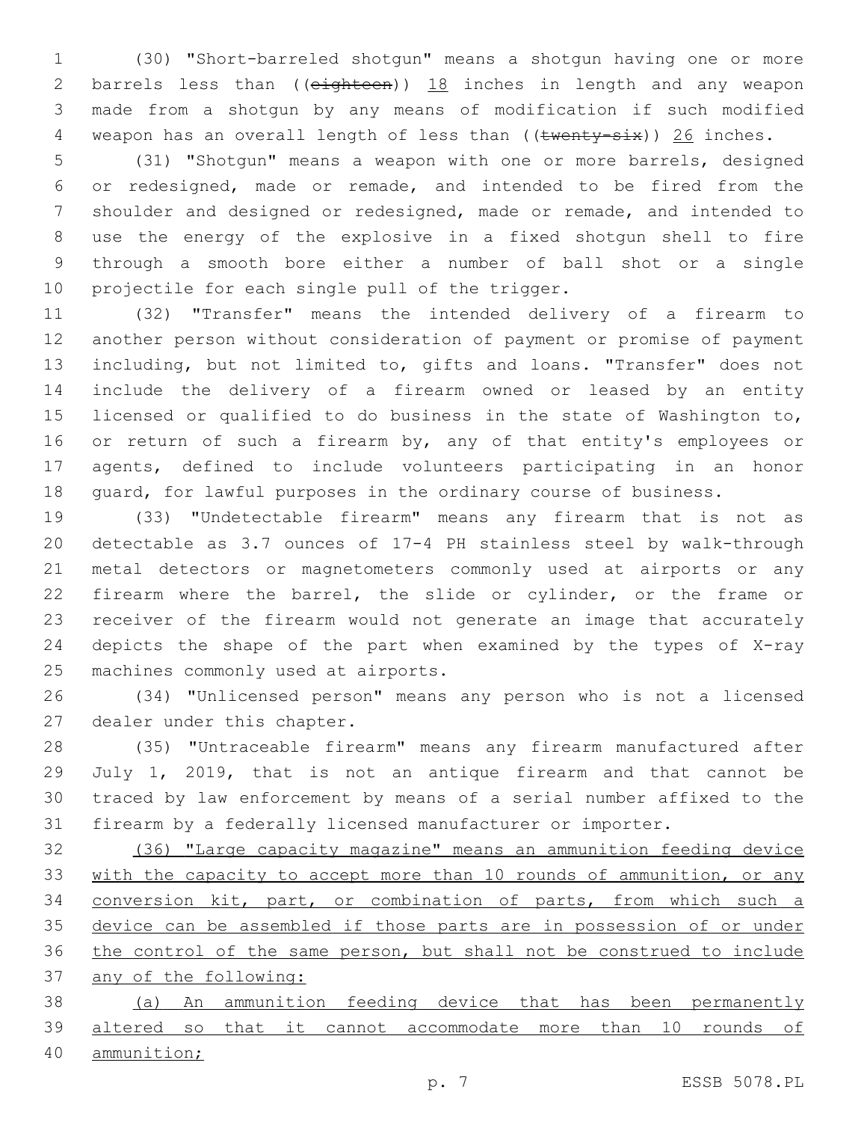(30) "Short-barreled shotgun" means a shotgun having one or more 2 barrels less than ((eighteen)) 18 inches in length and any weapon made from a shotgun by any means of modification if such modified 4 weapon has an overall length of less than ((twenty-six)) 26 inches.

 (31) "Shotgun" means a weapon with one or more barrels, designed or redesigned, made or remade, and intended to be fired from the shoulder and designed or redesigned, made or remade, and intended to use the energy of the explosive in a fixed shotgun shell to fire through a smooth bore either a number of ball shot or a single 10 projectile for each single pull of the trigger.

 (32) "Transfer" means the intended delivery of a firearm to another person without consideration of payment or promise of payment including, but not limited to, gifts and loans. "Transfer" does not include the delivery of a firearm owned or leased by an entity licensed or qualified to do business in the state of Washington to, 16 or return of such a firearm by, any of that entity's employees or agents, defined to include volunteers participating in an honor guard, for lawful purposes in the ordinary course of business.

 (33) "Undetectable firearm" means any firearm that is not as detectable as 3.7 ounces of 17-4 PH stainless steel by walk-through metal detectors or magnetometers commonly used at airports or any firearm where the barrel, the slide or cylinder, or the frame or receiver of the firearm would not generate an image that accurately depicts the shape of the part when examined by the types of X-ray 25 machines commonly used at airports.

 (34) "Unlicensed person" means any person who is not a licensed 27 dealer under this chapter.

 (35) "Untraceable firearm" means any firearm manufactured after July 1, 2019, that is not an antique firearm and that cannot be traced by law enforcement by means of a serial number affixed to the firearm by a federally licensed manufacturer or importer.

 (36) "Large capacity magazine" means an ammunition feeding device 33 with the capacity to accept more than 10 rounds of ammunition, or any conversion kit, part, or combination of parts, from which such a 35 device can be assembled if those parts are in possession of or under the control of the same person, but shall not be construed to include any of the following:

 (a) An ammunition feeding device that has been permanently altered so that it cannot accommodate more than 10 rounds of

ammunition;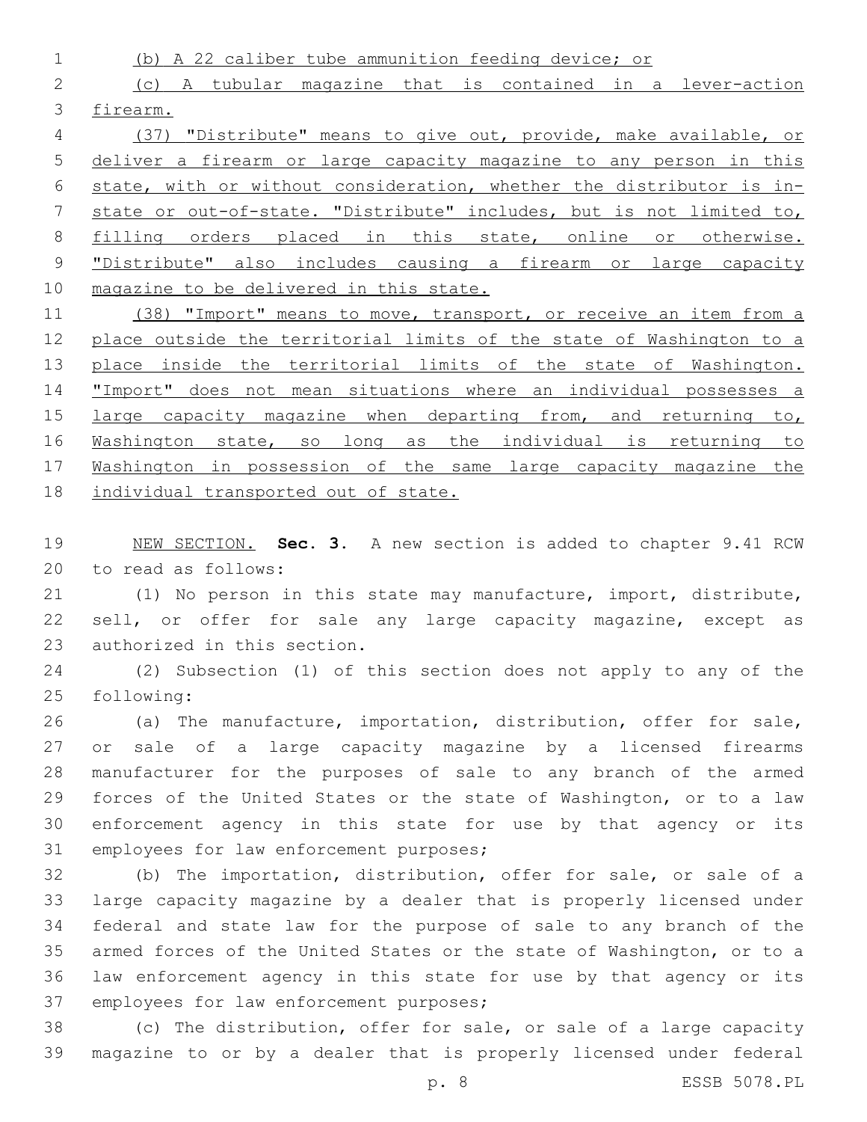(b) A 22 caliber tube ammunition feeding device; or (c) A tubular magazine that is contained in a lever-action firearm. (37) "Distribute" means to give out, provide, make available, or

 deliver a firearm or large capacity magazine to any person in this state, with or without consideration, whether the distributor is in- state or out-of-state. "Distribute" includes, but is not limited to, filling orders placed in this state, online or otherwise. "Distribute" also includes causing a firearm or large capacity magazine to be delivered in this state.

11 (38) "Import" means to move, transport, or receive an item from a 12 place outside the territorial limits of the state of Washington to a 13 place inside the territorial limits of the state of Washington. 14 "Import" does not mean situations where an individual possesses a 15 large capacity magazine when departing from, and returning to, 16 Washington state, so long as the individual is returning to Washington in possession of the same large capacity magazine the individual transported out of state.

 NEW SECTION. **Sec. 3.** A new section is added to chapter 9.41 RCW 20 to read as follows:

 (1) No person in this state may manufacture, import, distribute, 22 sell, or offer for sale any large capacity magazine, except as 23 authorized in this section.

 (2) Subsection (1) of this section does not apply to any of the 25 following:

 (a) The manufacture, importation, distribution, offer for sale, or sale of a large capacity magazine by a licensed firearms manufacturer for the purposes of sale to any branch of the armed forces of the United States or the state of Washington, or to a law enforcement agency in this state for use by that agency or its 31 employees for law enforcement purposes;

 (b) The importation, distribution, offer for sale, or sale of a large capacity magazine by a dealer that is properly licensed under federal and state law for the purpose of sale to any branch of the armed forces of the United States or the state of Washington, or to a law enforcement agency in this state for use by that agency or its 37 employees for law enforcement purposes;

 (c) The distribution, offer for sale, or sale of a large capacity magazine to or by a dealer that is properly licensed under federal

p. 8 ESSB 5078.PL